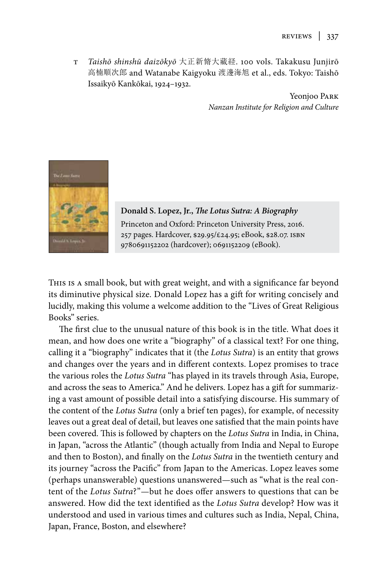T *Taishō shinshū daizōkyō* 大正新脩大藏経. 100 vols. Takakusu Junjirō 高楠順次郎 and Watanabe Kaigyoku 渡邊海旭 et al., eds. Tokyo: Taishō Issaikyō Kankōkai, 1924–1932.

> Yeonjoo PARK *Nanzan Institute for Religion and Culture*



**Donald S. Lopez, Jr.,** *The Lotus Sutra: A Biography* Princeton and Oxford: Princeton University Press, 2016. 257 pages. Hardcover, \$29.95/£24.95; eBook, \$28.07. isbn 9780691152202 (hardcover); 0691152209 (eBook).

This is a small book, but with great weight, and with a significance far beyond its diminutive physical size. Donald Lopez has a gift for writing concisely and lucidly, making this volume a welcome addition to the "Lives of Great Religious Books" series.

The first clue to the unusual nature of this book is in the title. What does it mean, and how does one write a "biography" of a classical text? For one thing, calling it a "biography" indicates that it (the *Lotus Sutra*) is an entity that grows and changes over the years and in different contexts. Lopez promises to trace the various roles the *Lotus Sutra* "has played in its travels through Asia, Europe, and across the seas to America." And he delivers. Lopez has a gift for summarizing a vast amount of possible detail into a satisfying discourse. His summary of the content of the *Lotus Sutra* (only a brief ten pages), for example, of necessity leaves out a great deal of detail, but leaves one satisfied that the main points have been covered. This is followed by chapters on the *Lotus Sutra* in India, in China, in Japan, "across the Atlantic" (though actually from India and Nepal to Europe and then to Boston), and finally on the *Lotus Sutra* in the twentieth century and its journey "across the Pacific" from Japan to the Americas. Lopez leaves some (perhaps unanswerable) questions unanswered—such as "what is the real content of the *Lotus Sutra*?"—but he does offer answers to questions that can be answered. How did the text identified as the *Lotus Sutra* develop? How was it understood and used in various times and cultures such as India, Nepal, China, Japan, France, Boston, and elsewhere?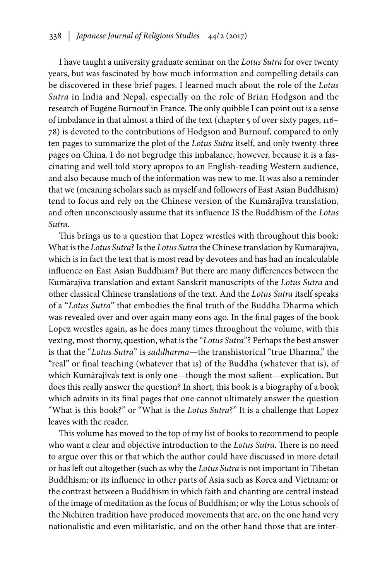I have taught a university graduate seminar on the *Lotus Sutra* for over twenty years, but was fascinated by how much information and compelling details can be discovered in these brief pages. I learned much about the role of the *Lotus Sutra* in India and Nepal, especially on the role of Brian Hodgson and the research of Eugéne Burnouf in France. The only quibble I can point out is a sense of imbalance in that almost a third of the text (chapter 5 of over sixty pages, 116– 78) is devoted to the contributions of Hodgson and Burnouf, compared to only ten pages to summarize the plot of the *Lotus Sutra* itself, and only twenty-three pages on China. I do not begrudge this imbalance, however, because it is a fascinating and well told story apropos to an English-reading Western audience, and also because much of the information was new to me. It was also a reminder that we (meaning scholars such as myself and followers of East Asian Buddhism) tend to focus and rely on the Chinese version of the Kumārajīva translation, and often unconsciously assume that its influence IS the Buddhism of the *Lotus Sutra*.

This brings us to a question that Lopez wrestles with throughout this book: What is the *Lotus Sutra*? Is the *Lotus Sutra* the Chinese translation by Kumārajīva, which is in fact the text that is most read by devotees and has had an incalculable influence on East Asian Buddhism? But there are many differences between the Kumārajīva translation and extant Sanskrit manuscripts of the *Lotus Sutra* and other classical Chinese translations of the text. And the *Lotus Sutra* itself speaks of a "*Lotus Sutra*" that embodies the final truth of the Buddha Dharma which was revealed over and over again many eons ago. In the final pages of the book Lopez wrestles again, as he does many times throughout the volume, with this vexing, most thorny, question, what is the "*Lotus Sutra*"? Perhaps the best answer is that the "*Lotus Sutra*" is *saddharma*—the transhistorical "true Dharma," the "real" or final teaching (whatever that is) of the Buddha (whatever that is), of which Kumārajīva's text is only one—though the most salient—explication. But does this really answer the question? In short, this book is a biography of a book which admits in its final pages that one cannot ultimately answer the question "What is this book?" or "What is the *Lotus Sutra*?" It is a challenge that Lopez leaves with the reader.

This volume has moved to the top of my list of books to recommend to people who want a clear and objective introduction to the *Lotus Sutra*. There is no need to argue over this or that which the author could have discussed in more detail or has left out altogether (such as why the *Lotus Sutra* is not important in Tibetan Buddhism; or its influence in other parts of Asia such as Korea and Vietnam; or the contrast between a Buddhism in which faith and chanting are central instead of the image of meditation as the focus of Buddhism; or why the Lotus schools of the Nichiren tradition have produced movements that are, on the one hand very nationalistic and even militaristic, and on the other hand those that are inter